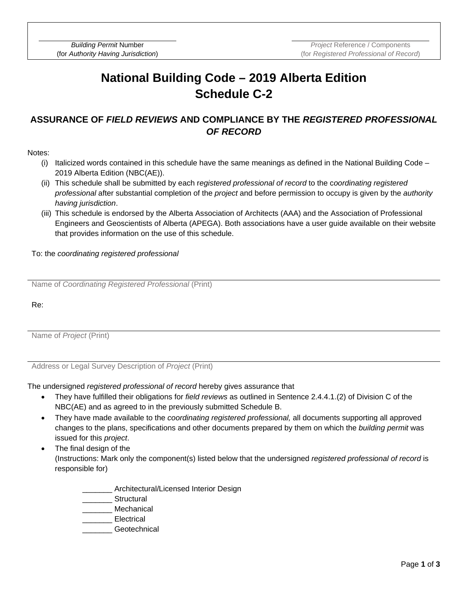*Building Permit* Number (for *Authority Having Jurisdiction*)

## **National Building Code – 2019 Alberta Edition Schedule C-2**

## **ASSURANCE OF** *FIELD REVIEWS* **AND COMPLIANCE BY THE** *REGISTERED PROFESSIONAL OF RECORD*

Notes:

- (i) Italicized words contained in this schedule have the same meanings as defined in the National Building Code 2019 Alberta Edition (NBC(AE)).
- (ii) This schedule shall be submitted by each r*egistered professional of record* to the c*oordinating registered professional* after substantial completion of the *project* and before permission to occupy is given by the *authority having jurisdiction*.
- (iii) This schedule is endorsed by the Alberta Association of Architects (AAA) and the Association of Professional Engineers and Geoscientists of Alberta (APEGA). Both associations have a user guide available on their website that provides information on the use of this schedule.

To: the *coordinating registered professional*

Name of *Coordinating Registered Professional* (Print)

Re:

Name of *Project* (Print)

Address or Legal Survey Description of *Project* (Print)

The undersigned *registered professional of record* hereby gives assurance that

- They have fulfilled their obligations for *field reviews* as outlined in Sentence 2.4.4.1.(2) of Division C of the NBC(AE) and as agreed to in the previously submitted Schedule B.
- They have made available to the *coordinating registered professional,* all documents supporting all approved changes to the plans, specifications and other documents prepared by them on which the *building permit* was issued for this *project*.
- The final design of the (Instructions: Mark only the component(s) listed below that the undersigned *registered professional of record* is responsible for)
	- Architectural/Licensed Interior Design
	- Structural
	- **Mechanical**
	- **Electrical** 
		- Geotechnical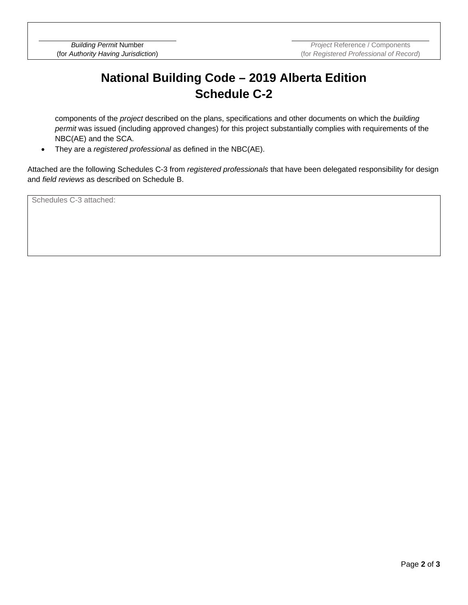## **National Building Code – 2019 Alberta Edition Schedule C-2**

components of the *project* described on the plans, specifications and other documents on which the *building permit* was issued (including approved changes) for this project substantially complies with requirements of the NBC(AE) and the SCA.

• They are a *registered professional* as defined in the NBC(AE).

Attached are the following Schedules C-3 from *registered professionals* that have been delegated responsibility for design and *field reviews* as described on Schedule B.

Schedules C-3 attached: